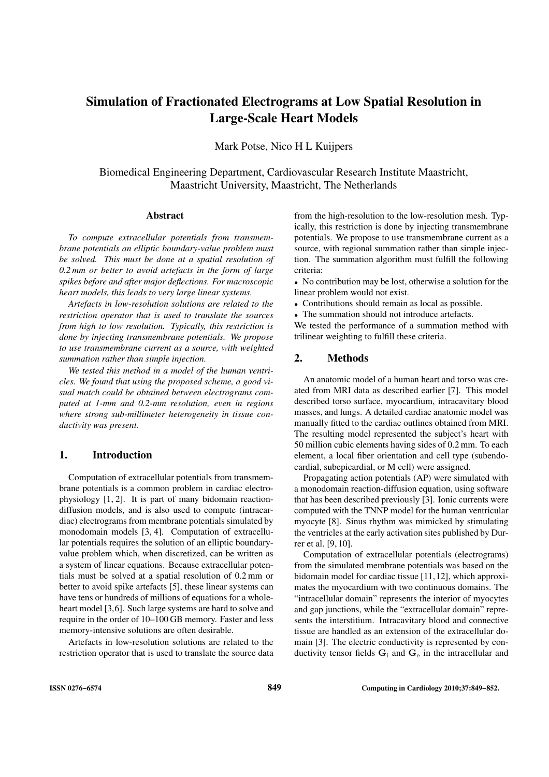# Simulation of Fractionated Electrograms at Low Spatial Resolution in Large-Scale Heart Models

Mark Potse, Nico H L Kuijpers

Biomedical Engineering Department, Cardiovascular Research Institute Maastricht, Maastricht University, Maastricht, The Netherlands

#### Abstract

*To compute extracellular potentials from transmembrane potentials an elliptic boundary-value problem must be solved. This must be done at a spatial resolution of 0.2 mm or better to avoid artefacts in the form of large spikes before and after major deflections. For macroscopic heart models, this leads to very large linear systems.*

*Artefacts in low-resolution solutions are related to the restriction operator that is used to translate the sources from high to low resolution. Typically, this restriction is done by injecting transmembrane potentials. We propose to use transmembrane current as a source, with weighted summation rather than simple injection.*

*We tested this method in a model of the human ventricles. We found that using the proposed scheme, a good visual match could be obtained between electrograms computed at 1-mm and 0.2-mm resolution, even in regions where strong sub-millimeter heterogeneity in tissue conductivity was present.*

## 1. Introduction

Computation of extracellular potentials from transmembrane potentials is a common problem in cardiac electrophysiology [1, 2]. It is part of many bidomain reactiondiffusion models, and is also used to compute (intracardiac) electrograms from membrane potentials simulated by monodomain models [3, 4]. Computation of extracellular potentials requires the solution of an elliptic boundaryvalue problem which, when discretized, can be written as a system of linear equations. Because extracellular potentials must be solved at a spatial resolution of 0.2 mm or better to avoid spike artefacts [5], these linear systems can have tens or hundreds of millions of equations for a wholeheart model [3,6]. Such large systems are hard to solve and require in the order of 10–100 GB memory. Faster and less memory-intensive solutions are often desirable.

Artefacts in low-resolution solutions are related to the restriction operator that is used to translate the source data

from the high-resolution to the low-resolution mesh. Typically, this restriction is done by injecting transmembrane potentials. We propose to use transmembrane current as a source, with regional summation rather than simple injection. The summation algorithm must fulfill the following criteria:

• No contribution may be lost, otherwise a solution for the linear problem would not exist.

- Contributions should remain as local as possible.
- The summation should not introduce artefacts.

We tested the performance of a summation method with trilinear weighting to fulfill these criteria.

## 2. Methods

An anatomic model of a human heart and torso was created from MRI data as described earlier [7]. This model described torso surface, myocardium, intracavitary blood masses, and lungs. A detailed cardiac anatomic model was manually fitted to the cardiac outlines obtained from MRI. The resulting model represented the subject's heart with 50 million cubic elements having sides of 0.2 mm. To each element, a local fiber orientation and cell type (subendocardial, subepicardial, or M cell) were assigned.

Propagating action potentials (AP) were simulated with a monodomain reaction-diffusion equation, using software that has been described previously [3]. Ionic currents were computed with the TNNP model for the human ventricular myocyte [8]. Sinus rhythm was mimicked by stimulating the ventricles at the early activation sites published by Durrer et al. [9, 10].

Computation of extracellular potentials (electrograms) from the simulated membrane potentials was based on the bidomain model for cardiac tissue [11,12], which approximates the myocardium with two continuous domains. The "intracellular domain" represents the interior of myocytes and gap junctions, while the "extracellular domain" represents the interstitium. Intracavitary blood and connective tissue are handled as an extension of the extracellular domain [3]. The electric conductivity is represented by conductivity tensor fields  $G_i$  and  $G_e$  in the intracellular and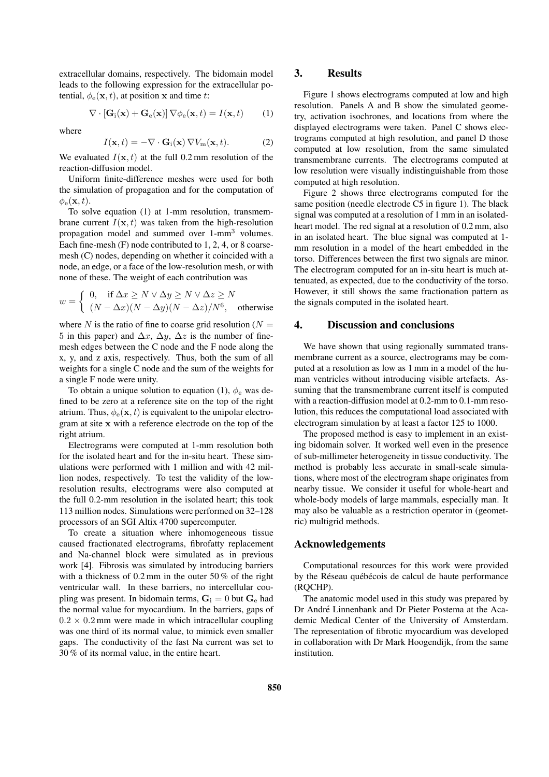extracellular domains, respectively. The bidomain model leads to the following expression for the extracellular potential,  $\phi_e(\mathbf{x}, t)$ , at position x and time t:

$$
\nabla \cdot [\mathbf{G}_{\mathrm{i}}(\mathbf{x}) + \mathbf{G}_{\mathrm{e}}(\mathbf{x})] \nabla \phi_{\mathrm{e}}(\mathbf{x}, t) = I(\mathbf{x}, t) \qquad (1)
$$

where

$$
I(\mathbf{x},t) = -\nabla \cdot \mathbf{G}_i(\mathbf{x}) \nabla V_m(\mathbf{x},t). \tag{2}
$$

We evaluated  $I(\mathbf{x}, t)$  at the full 0.2 mm resolution of the reaction-diffusion model.

Uniform finite-difference meshes were used for both the simulation of propagation and for the computation of  $\phi_{\rm e}({\bf x},t)$ .

To solve equation (1) at 1-mm resolution, transmembrane current  $I(\mathbf{x}, t)$  was taken from the high-resolution propagation model and summed over 1-mm<sup>3</sup> volumes. Each fine-mesh (F) node contributed to 1, 2, 4, or 8 coarsemesh (C) nodes, depending on whether it coincided with a node, an edge, or a face of the low-resolution mesh, or with none of these. The weight of each contribution was

$$
w = \begin{cases} 0, & \text{if } \Delta x \ge N \vee \Delta y \ge N \vee \Delta z \ge N \\ (N - \Delta x)(N - \Delta y)(N - \Delta z)/N^6, & \text{otherwise} \end{cases}
$$

where N is the ratio of fine to coarse grid resolution ( $N =$ 5 in this paper) and  $\Delta x$ ,  $\Delta y$ ,  $\Delta z$  is the number of finemesh edges between the C node and the F node along the x, y, and z axis, respectively. Thus, both the sum of all weights for a single C node and the sum of the weights for a single F node were unity.

To obtain a unique solution to equation (1),  $\phi_e$  was defined to be zero at a reference site on the top of the right atrium. Thus,  $\phi_e(\mathbf{x}, t)$  is equivalent to the unipolar electrogram at site x with a reference electrode on the top of the right atrium.

Electrograms were computed at 1-mm resolution both for the isolated heart and for the in-situ heart. These simulations were performed with 1 million and with 42 million nodes, respectively. To test the validity of the lowresolution results, electrograms were also computed at the full 0.2-mm resolution in the isolated heart; this took 113 million nodes. Simulations were performed on 32–128 processors of an SGI Altix 4700 supercomputer.

To create a situation where inhomogeneous tissue caused fractionated electrograms, fibrofatty replacement and Na-channel block were simulated as in previous work [4]. Fibrosis was simulated by introducing barriers with a thickness of 0.2 mm in the outer 50 % of the right ventricular wall. In these barriers, no intercellular coupling was present. In bidomain terms,  $G_i = 0$  but  $G_e$  had the normal value for myocardium. In the barriers, gaps of  $0.2 \times 0.2$  mm were made in which intracellular coupling was one third of its normal value, to mimick even smaller gaps. The conductivity of the fast Na current was set to 30 % of its normal value, in the entire heart.

## 3. Results

Figure 1 shows electrograms computed at low and high resolution. Panels A and B show the simulated geometry, activation isochrones, and locations from where the displayed electrograms were taken. Panel C shows electrograms computed at high resolution, and panel D those computed at low resolution, from the same simulated transmembrane currents. The electrograms computed at low resolution were visually indistinguishable from those computed at high resolution.

Figure 2 shows three electrograms computed for the same position (needle electrode C5 in figure 1). The black signal was computed at a resolution of 1 mm in an isolatedheart model. The red signal at a resolution of 0.2 mm, also in an isolated heart. The blue signal was computed at 1 mm resolution in a model of the heart embedded in the torso. Differences between the first two signals are minor. The electrogram computed for an in-situ heart is much attenuated, as expected, due to the conductivity of the torso. However, it still shows the same fractionation pattern as the signals computed in the isolated heart.

#### 4. Discussion and conclusions

We have shown that using regionally summated transmembrane current as a source, electrograms may be computed at a resolution as low as 1 mm in a model of the human ventricles without introducing visible artefacts. Assuming that the transmembrane current itself is computed with a reaction-diffusion model at 0.2-mm to 0.1-mm resolution, this reduces the computational load associated with electrogram simulation by at least a factor 125 to 1000.

The proposed method is easy to implement in an existing bidomain solver. It worked well even in the presence of sub-millimeter heterogeneity in tissue conductivity. The method is probably less accurate in small-scale simulations, where most of the electrogram shape originates from nearby tissue. We consider it useful for whole-heart and whole-body models of large mammals, especially man. It may also be valuable as a restriction operator in (geometric) multigrid methods.

## Acknowledgements

Computational resources for this work were provided by the Réseau québécois de calcul de haute performance (RQCHP).

The anatomic model used in this study was prepared by Dr André Linnenbank and Dr Pieter Postema at the Academic Medical Center of the University of Amsterdam. The representation of fibrotic myocardium was developed in collaboration with Dr Mark Hoogendijk, from the same institution.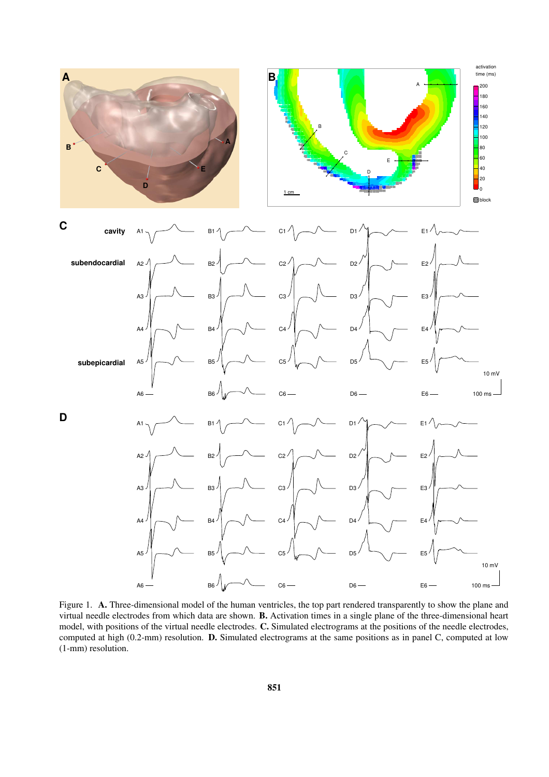

Figure 1. A. Three-dimensional model of the human ventricles, the top part rendered transparently to show the plane and virtual needle electrodes from which data are shown. B. Activation times in a single plane of the three-dimensional heart model, with positions of the virtual needle electrodes. C. Simulated electrograms at the positions of the needle electrodes, computed at high (0.2-mm) resolution. D. Simulated electrograms at the same positions as in panel C, computed at low (1-mm) resolution.